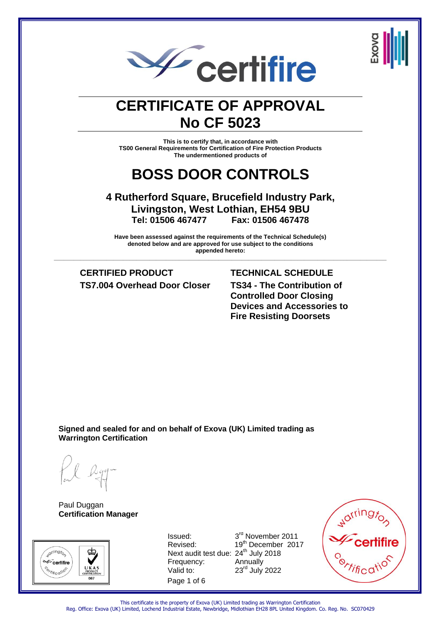



### **CERTIFICATE OF APPROVAL No CF 5023**

**This is to certify that, in accordance with TS00 General Requirements for Certification of Fire Protection Products The undermentioned products of**

### **BOSS DOOR CONTROLS**

### **4 Rutherford Square, Brucefield Industry Park, Livingston, West Lothian, EH54 9BU Tel: 01506 467477 Fax: 01506 467478**

**Have been assessed against the requirements of the Technical Schedule(s) denoted below and are approved for use subject to the conditions appended hereto: \_\_\_\_\_\_\_\_\_\_\_\_\_\_\_\_\_\_\_\_\_\_\_\_\_\_\_\_\_\_\_\_\_\_\_\_\_\_\_\_\_\_\_\_\_\_\_\_\_\_\_\_\_\_\_\_\_\_\_\_\_\_\_\_\_\_\_\_\_\_\_\_\_\_\_\_\_\_\_\_\_\_\_\_\_\_\_\_\_\_\_\_\_\_\_\_\_\_\_\_\_**

**CERTIFIED PRODUCT TECHNICAL SCHEDULE TS7.004 Overhead Door Closer TS34 - The Contribution of** 

**Controlled Door Closing Devices and Accessories to Fire Resisting Doorsets**

**Signed and sealed for and on behalf of Exova (UK) Limited trading as Warrington Certification**

Paul Duggan **Certification Manager**



Page 1 of 6 Next audit test due: 24<sup>th</sup> July 2018 Frequency: Annually  $V$ alid to:  $23<sup>rd</sup>$  July 2022

Issued: 3rd November 2011 Revised: 19<sup>th</sup> December 2017



This certificate is the property of Exova (UK) Limited trading as Warrington Certification Reg. Office: Exova (UK) Limited, Lochend Industrial Estate, Newbridge, Midlothian EH28 8PL United Kingdom. Co. Reg. No. SC070429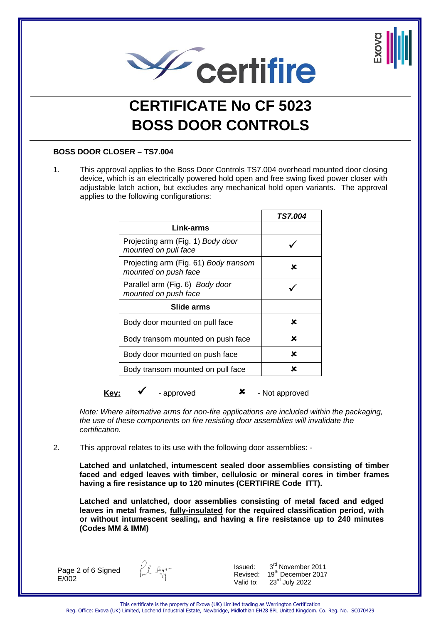



#### **BOSS DOOR CLOSER – TS7.004**

1. This approval applies to the Boss Door Controls TS7.004 overhead mounted door closing device, which is an electrically powered hold open and free swing fixed power closer with adjustable latch action, but excludes any mechanical hold open variants. The approval applies to the following configurations:

|                                                               | <b>TS7.004</b> |
|---------------------------------------------------------------|----------------|
| Link-arms                                                     |                |
| Projecting arm (Fig. 1) Body door<br>mounted on pull face     |                |
| Projecting arm (Fig. 61) Body transom<br>mounted on push face | x              |
| Parallel arm (Fig. 6) Body door<br>mounted on push face       |                |
| Slide arms                                                    |                |
| Body door mounted on pull face                                | ×              |
| Body transom mounted on push face                             | ×              |
| Body door mounted on push face                                | ×              |
| Body transom mounted on pull face                             | ×              |

**Key:** ► Ferrored **CO** A Ferrored **CO** A Ferrored **C** And approved

*Note: Where alternative arms for non-fire applications are included within the packaging, the use of these components on fire resisting door assemblies will invalidate the certification.*

2. This approval relates to its use with the following door assemblies: -

**Latched and unlatched, intumescent sealed door assemblies consisting of timber faced and edged leaves with timber, cellulosic or mineral cores in timber frames having a fire resistance up to 120 minutes (CERTIFIRE Code ITT).**

**Latched and unlatched, door assemblies consisting of metal faced and edged leaves in metal frames, fully-insulated for the required classification period, with or without intumescent sealing, and having a fire resistance up to 240 minutes (Codes MM & IMM)**

Page 2 of 6 Signed  $E/002$ 

fil egg-

Issued:  $3^{\text{rd}}$  November 2011<br>Revised:  $19^{\text{th}}$  December 2017 19<sup>th</sup> December 2017 Valid to:  $23<sup>rd</sup>$  July 2022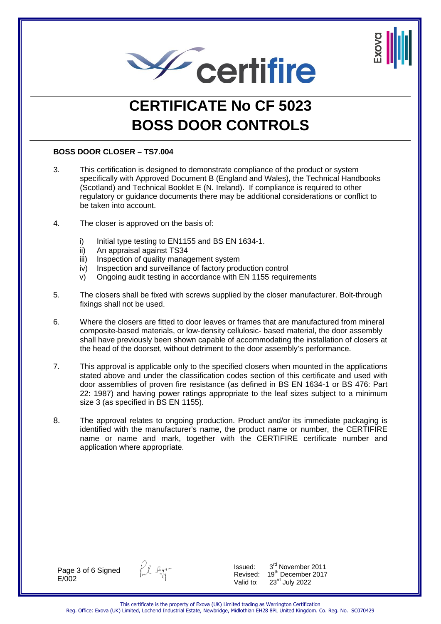



#### **BOSS DOOR CLOSER – TS7.004**

- 3. This certification is designed to demonstrate compliance of the product or system specifically with Approved Document B (England and Wales), the Technical Handbooks (Scotland) and Technical Booklet E (N. Ireland). If compliance is required to other regulatory or guidance documents there may be additional considerations or conflict to be taken into account.
- 4. The closer is approved on the basis of:
	- i) Initial type testing to EN1155 and BS EN 1634-1.
	- ii) An appraisal against TS34
	- iii) Inspection of quality management system
	- iv) Inspection and surveillance of factory production control
	- v) Ongoing audit testing in accordance with EN 1155 requirements
- 5. The closers shall be fixed with screws supplied by the closer manufacturer. Bolt-through fixings shall not be used.
- 6. Where the closers are fitted to door leaves or frames that are manufactured from mineral composite-based materials, or low-density cellulosic- based material, the door assembly shall have previously been shown capable of accommodating the installation of closers at the head of the doorset, without detriment to the door assembly's performance.
- 7. This approval is applicable only to the specified closers when mounted in the applications stated above and under the classification codes section of this certificate and used with door assemblies of proven fire resistance (as defined in BS EN 1634-1 or BS 476: Part 22: 1987) and having power ratings appropriate to the leaf sizes subject to a minimum size 3 (as specified in BS EN 1155).
- 8. The approval relates to ongoing production. Product and/or its immediate packaging is identified with the manufacturer's name, the product name or number, the CERTIFIRE name or name and mark, together with the CERTIFIRE certificate number and application where appropriate.

Page 3 of 6 Signed  $E/002$ 



Issued:  $3^{\text{rd}}$  November 2011<br>Revised:  $19^{\text{th}}$  December 2017 19<sup>th</sup> December 2017 Valid to: 23<sup>rd</sup> July 2022

This certificate is the property of Exova (UK) Limited trading as Warrington Certification Reg. Office: Exova (UK) Limited, Lochend Industrial Estate, Newbridge, Midlothian EH28 8PL United Kingdom. Co. Reg. No. SC070429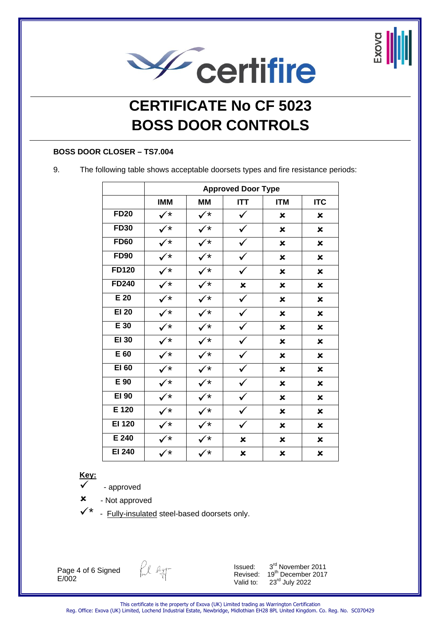



#### **BOSS DOOR CLOSER – TS7.004**

9. The following table shows acceptable doorsets types and fire resistance periods:

|               | <b>Approved Door Type</b> |                      |              |                           |             |  |
|---------------|---------------------------|----------------------|--------------|---------------------------|-------------|--|
|               | <b>IMM</b>                | <b>MM</b>            | <b>ITT</b>   | <b>ITM</b>                | <b>ITC</b>  |  |
| <b>FD20</b>   | $\checkmark^{\star}$      | $\checkmark^*$       | $\checkmark$ | $\mathbf x$               | ×           |  |
| <b>FD30</b>   | $\checkmark^*$            | $\checkmark^*$       | ✓            | ×                         | ×           |  |
| <b>FD60</b>   | $\checkmark^*$            | $\checkmark^*$       |              | ×                         | ×           |  |
| <b>FD90</b>   | $\checkmark^*$            | $\checkmark^*$       | $\checkmark$ | ×                         | ×           |  |
| <b>FD120</b>  | $\checkmark^*$            | $\checkmark^{\star}$ | $\checkmark$ | $\boldsymbol{\mathsf{x}}$ | ×           |  |
| <b>FD240</b>  | $\checkmark^*$            | ∕*                   | $\mathbf x$  | ×                         | ×           |  |
| $E$ 20        | $\checkmark^*$            | ′*                   |              | ×                         | ×           |  |
| <b>EI 20</b>  | $\checkmark^*$            | .⁄*                  |              | ×                         | ×           |  |
| E 30          | $\checkmark^{\star}$      | $\checkmark$         |              | x                         | $\mathbf x$ |  |
| EI 30         | $\checkmark^*$            | $\checkmark^*$       |              | ×                         | ×           |  |
| E 60          | $\checkmark^*$            | $\checkmark^{\star}$ |              | $\mathbf x$               | $\mathbf x$ |  |
| EI 60         | $\checkmark^*$            | $\checkmark^*$       | $\checkmark$ | ×                         | ×           |  |
| E 90          | $\checkmark^*$            | $\checkmark^{\star}$ |              | ×                         | ×           |  |
| EI 90         | $\checkmark^{\star}$      | ✓∗                   |              | ×                         | ×           |  |
| E 120         | $\checkmark^*$            | ′*                   |              | ×                         | ×           |  |
| <b>EI 120</b> | $\checkmark^*$            | $\rightarrow$        |              | ×                         | ×           |  |
| E 240         | $\checkmark^*$            | ′*                   | ×            | ×                         | ×           |  |
| EI 240        | $\checkmark^{\star}$      | /*                   | ×            | ×                         | ×           |  |

#### **Key:**

- approved

 $x - Not approved$ 

Fully-insulated steel-based doorsets only.

Page 4 of 6 Signed E/002

fil ligg-

Issued: 3<sup>rd</sup> November 2011<br>Revised: 19<sup>th</sup> December 2017 Revised: 19<sup>th</sup> December 2017 Valid to: 23<sup>rd</sup> July 2022

This certificate is the property of Exova (UK) Limited trading as Warrington Certification Reg. Office: Exova (UK) Limited, Lochend Industrial Estate, Newbridge, Midlothian EH28 8PL United Kingdom. Co. Reg. No. SC070429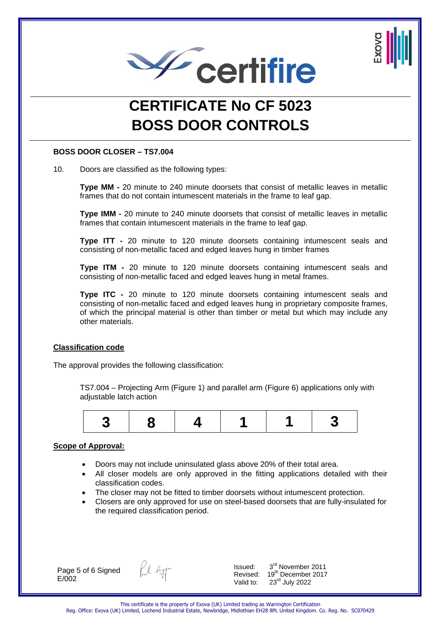



#### **BOSS DOOR CLOSER – TS7.004**

10. Doors are classified as the following types:

**Type MM -** 20 minute to 240 minute doorsets that consist of metallic leaves in metallic frames that do not contain intumescent materials in the frame to leaf gap.

**Type IMM -** 20 minute to 240 minute doorsets that consist of metallic leaves in metallic frames that contain intumescent materials in the frame to leaf gap.

**Type ITT -** 20 minute to 120 minute doorsets containing intumescent seals and consisting of non-metallic faced and edged leaves hung in timber frames

**Type ITM -** 20 minute to 120 minute doorsets containing intumescent seals and consisting of non-metallic faced and edged leaves hung in metal frames.

**Type ITC -** 20 minute to 120 minute doorsets containing intumescent seals and consisting of non-metallic faced and edged leaves hung in proprietary composite frames, of which the principal material is other than timber or metal but which may include any other materials.

#### **Classification code**

The approval provides the following classification:

TS7.004 – Projecting Arm (Figure 1) and parallel arm (Figure 6) applications only with adjustable latch action



#### **Scope of Approval:**

- Doors may not include uninsulated glass above 20% of their total area.
- All closer models are only approved in the fitting applications detailed with their classification codes.
- The closer may not be fitted to timber doorsets without intumescent protection.
- Closers are only approved for use on steel-based doorsets that are fully-insulated for the required classification period.

Page 5 of 6 Signed  $E/002$ 

Pul Rgg-

Issued:  $3^{\text{rd}}$  November 2011<br>Revised:  $19^{\text{th}}$  December 2017 19<sup>th</sup> December 2017 Valid to:  $23<sup>rd</sup>$  July 2022